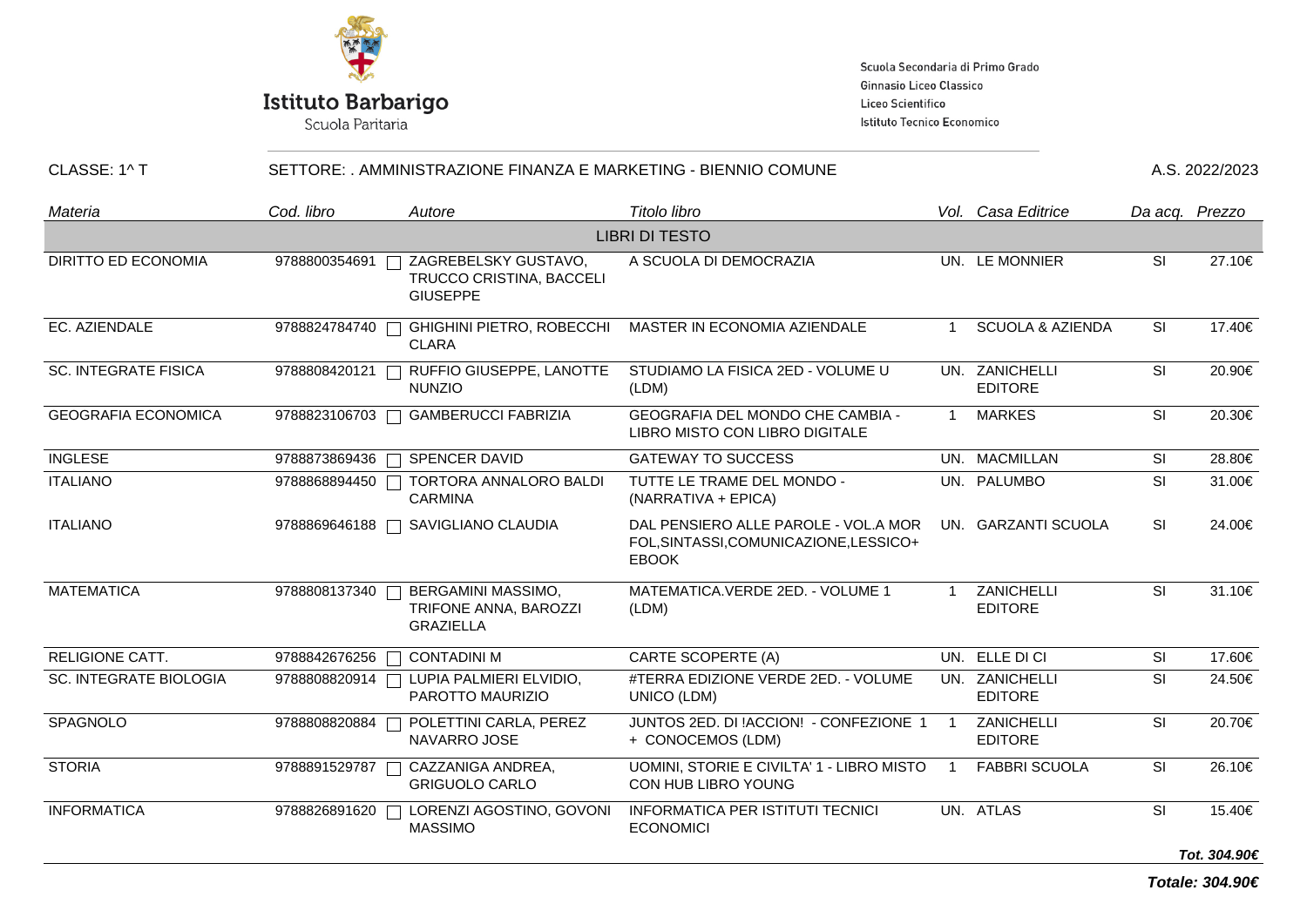

Scuola Paritaria

Scuola Secondaria di Primo Grado Ginnasio Liceo Classico Liceo Scientifico Istituto Tecnico Economico

| CLASSE: 1^ T                  | SETTORE: . AMMINISTRAZIONE FINANZA E MARKETING - BIENNIO COMUNE |                                                                        |                                                                                                |                | A.S. 2022/2023                   |           |                |
|-------------------------------|-----------------------------------------------------------------|------------------------------------------------------------------------|------------------------------------------------------------------------------------------------|----------------|----------------------------------|-----------|----------------|
| Materia                       | Cod. libro                                                      | Autore                                                                 | Titolo libro                                                                                   |                | Vol. Casa Editrice               |           | Da acq. Prezzo |
|                               |                                                                 |                                                                        | <b>LIBRI DI TESTO</b>                                                                          |                |                                  |           |                |
| DIRITTO ED ECONOMIA           | 9788800354691                                                   | ZAGREBELSKY GUSTAVO,<br>TRUCCO CRISTINA, BACCELI<br><b>GIUSEPPE</b>    | A SCUOLA DI DEMOCRAZIA                                                                         |                | UN. LE MONNIER                   | SI        | 27.10€         |
| EC. AZIENDALE                 | 9788824784740                                                   | <b>GHIGHINI PIETRO, ROBECCHI</b><br><b>CLARA</b>                       | MASTER IN ECONOMIA AZIENDALE                                                                   | $\overline{1}$ | <b>SCUOLA &amp; AZIENDA</b>      | SI        | 17.40€         |
| <b>SC. INTEGRATE FISICA</b>   | 9788808420121                                                   | RUFFIO GIUSEPPE, LANOTTE<br><b>NUNZIO</b>                              | STUDIAMO LA FISICA 2ED - VOLUME U<br>(LDM)                                                     |                | UN. ZANICHELLI<br><b>EDITORE</b> | <b>SI</b> | 20.90€         |
| <b>GEOGRAFIA ECONOMICA</b>    |                                                                 | 9788823106703 □ GAMBERUCCI FABRIZIA                                    | GEOGRAFIA DEL MONDO CHE CAMBIA -<br>LIBRO MISTO CON LIBRO DIGITALE                             | $\mathbf{1}$   | <b>MARKES</b>                    | <b>SI</b> | 20.30€         |
| <b>INGLESE</b>                | 9788873869436                                                   | □ SPENCER DAVID                                                        | <b>GATEWAY TO SUCCESS</b>                                                                      |                | UN. MACMILLAN                    | SI        | 28.80€         |
| <b>ITALIANO</b>               | 9788868894450                                                   | TORTORA ANNALORO BALDI<br>$\Box$<br><b>CARMINA</b>                     | TUTTE LE TRAME DEL MONDO -<br>(NARRATIVA + EPICA)                                              |                | UN. PALUMBO                      | SI        | 31.00€         |
| <b>ITALIANO</b>               |                                                                 | 9788869646188 □ SAVIGLIANO CLAUDIA                                     | DAL PENSIERO ALLE PAROLE - VOL.A MOR<br>FOL, SINTASSI, COMUNICAZIONE, LESSICO+<br><b>EBOOK</b> |                | UN. GARZANTI SCUOLA              | <b>SI</b> | 24.00€         |
| <b>MATEMATICA</b>             | 9788808137340                                                   | <b>BERGAMINI MASSIMO,</b><br>TRIFONE ANNA, BAROZZI<br><b>GRAZIELLA</b> | MATEMATICA.VERDE 2ED. - VOLUME 1<br>(LDM)                                                      |                | ZANICHELLI<br><b>EDITORE</b>     | <b>SI</b> | 31.10€         |
| <b>RELIGIONE CATT.</b>        | 9788842676256                                                   | <b>CONTADINI M</b><br>┑                                                | <b>CARTE SCOPERTE (A)</b>                                                                      |                | UN. ELLE DI CI                   | SI        | 17.60€         |
| <b>SC. INTEGRATE BIOLOGIA</b> | 9788808820914                                                   | LUPIA PALMIERI ELVIDIO,<br>PAROTTO MAURIZIO                            | #TERRA EDIZIONE VERDE 2ED. - VOLUME<br>UNICO (LDM)                                             |                | UN. ZANICHELLI<br><b>EDITORE</b> | <b>SI</b> | 24.50€         |
| SPAGNOLO                      | 9788808820884                                                   | POLETTINI CARLA, PEREZ<br>NAVARRO JOSE                                 | JUNTOS 2ED. DI !ACCION! - CONFEZIONE 1<br>+ CONOCEMOS (LDM)                                    | $\overline{1}$ | ZANICHELLI<br><b>EDITORE</b>     | SI        | 20.70€         |
| <b>STORIA</b>                 | 9788891529787                                                   | CAZZANIGA ANDREA,<br><b>GRIGUOLO CARLO</b>                             | UOMINI, STORIE E CIVILTA' 1 - LIBRO MISTO<br>CON HUB LIBRO YOUNG                               | $\overline{1}$ | <b>FABBRI SCUOLA</b>             | SI        | 26.10€         |
| <b>INFORMATICA</b>            | 9788826891620                                                   | LORENZI AGOSTINO, GOVONI<br>$\Box$<br><b>MASSIMO</b>                   | <b>INFORMATICA PER ISTITUTI TECNICI</b><br><b>ECONOMICI</b>                                    |                | UN. ATLAS                        | SI        | 15.40€         |
|                               |                                                                 |                                                                        |                                                                                                |                |                                  |           | Tot. 304.90€   |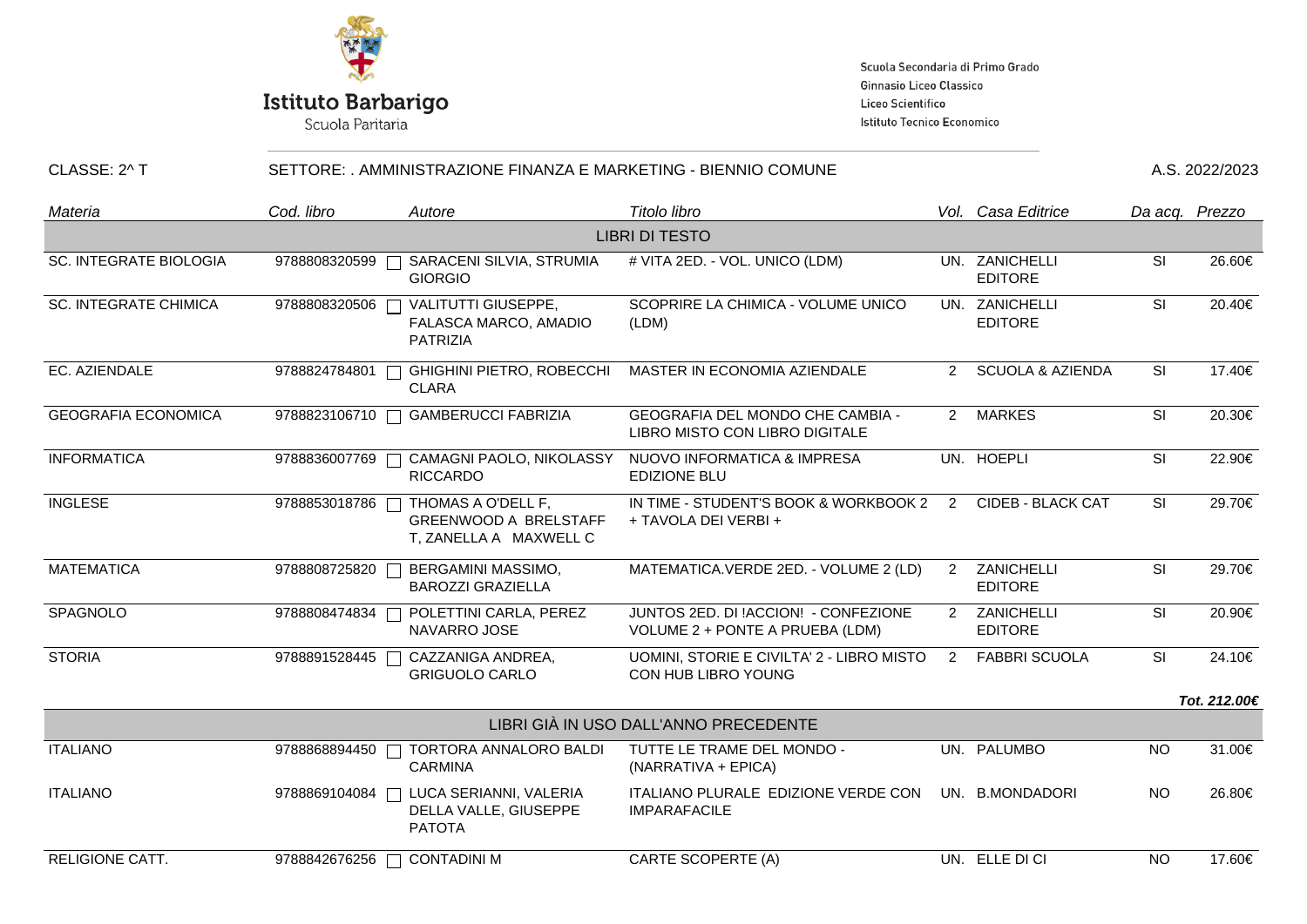

# **Istituto Barbarigo**<br>Scuola Paritaria

Scuola Secondaria di Primo Grado Ginnasio Liceo Classico Liceo Scientifico Istituto Tecnico Economico

#### CLASSE: 2^ T SETTORE: . AMMINISTRAZIONE FINANZA E MARKETING - BIENNIO COMUNE 4.S. 2022/2023

| Materia                       | Cod. libro    | Autore                                                                       | Titolo libro                                                            |                | Vol. Casa Editrice               | Da acq. Prezzo |              |  |
|-------------------------------|---------------|------------------------------------------------------------------------------|-------------------------------------------------------------------------|----------------|----------------------------------|----------------|--------------|--|
| <b>LIBRI DI TESTO</b>         |               |                                                                              |                                                                         |                |                                  |                |              |  |
| <b>SC. INTEGRATE BIOLOGIA</b> | 9788808320599 | SARACENI SILVIA, STRUMIA<br><b>GIORGIO</b>                                   | # VITA 2ED. - VOL. UNICO (LDM)                                          |                | UN. ZANICHELLI<br><b>EDITORE</b> | SI             | 26.60€       |  |
| <b>SC. INTEGRATE CHIMICA</b>  | 9788808320506 | VALITUTTI GIUSEPPE,<br>FALASCA MARCO, AMADIO<br>PATRIZIA                     | SCOPRIRE LA CHIMICA - VOLUME UNICO<br>(LDM)                             |                | UN. ZANICHELLI<br><b>EDITORE</b> | <b>SI</b>      | 20.40€       |  |
| EC. AZIENDALE                 | 9788824784801 | GHIGHINI PIETRO, ROBECCHI<br><b>CLARA</b>                                    | MASTER IN ECONOMIA AZIENDALE                                            |                | 2 SCUOLA & AZIENDA               | SI             | 17.40€       |  |
| <b>GEOGRAFIA ECONOMICA</b>    | 9788823106710 | <b>GAMBERUCCI FABRIZIA</b>                                                   | GEOGRAFIA DEL MONDO CHE CAMBIA -<br>LIBRO MISTO CON LIBRO DIGITALE      |                | 2 MARKES                         | SI             | 20.30€       |  |
| <b>INFORMATICA</b>            | 9788836007769 | CAMAGNI PAOLO, NIKOLASSY<br><b>RICCARDO</b>                                  | NUOVO INFORMATICA & IMPRESA<br><b>EDIZIONE BLU</b>                      |                | UN. HOEPLI                       | SI             | 22.90€       |  |
| <b>INGLESE</b>                | 9788853018786 | THOMAS A O'DELL F,<br><b>GREENWOOD A BRELSTAFF</b><br>T, ZANELLA A MAXWELL C | IN TIME - STUDENT'S BOOK & WORKBOOK 2<br>+ TAVOLA DEI VERBI +           | $\overline{2}$ | <b>CIDEB - BLACK CAT</b>         | <b>SI</b>      | 29.70€       |  |
| <b>MATEMATICA</b>             | 9788808725820 | BERGAMINI MASSIMO,<br><b>BAROZZI GRAZIELLA</b>                               | MATEMATICA.VERDE 2ED. - VOLUME 2 (LD)                                   | $2^{\circ}$    | ZANICHELLI<br><b>EDITORE</b>     | SI             | 29.70€       |  |
| SPAGNOLO                      | 9788808474834 | POLETTINI CARLA, PEREZ<br>NAVARRO JOSE                                       | JUNTOS 2ED. DI !ACCION! - CONFEZIONE<br>VOLUME 2 + PONTE A PRUEBA (LDM) |                | 2 ZANICHELLI<br><b>EDITORE</b>   | SI             | 20.90€       |  |
| <b>STORIA</b>                 | 9788891528445 | CAZZANIGA ANDREA,<br><b>GRIGUOLO CARLO</b>                                   | UOMINI, STORIE E CIVILTA' 2 - LIBRO MISTO<br>CON HUB LIBRO YOUNG        | $2^{\circ}$    | <b>FABBRI SCUOLA</b>             | SI             | 24.10€       |  |
|                               |               |                                                                              |                                                                         |                |                                  |                | Tot. 212.00€ |  |
|                               |               |                                                                              | LIBRI GIÀ IN USO DALL'ANNO PRECEDENTE                                   |                |                                  |                |              |  |
| <b>ITALIANO</b>               | 9788868894450 | TORTORA ANNALORO BALDI<br><b>CARMINA</b>                                     | TUTTE LE TRAME DEL MONDO -<br>(NARRATIVA + EPICA)                       |                | UN. PALUMBO                      | <b>NO</b>      | 31.00€       |  |
| <b>ITALIANO</b>               | 9788869104084 | LUCA SERIANNI, VALERIA<br>DELLA VALLE, GIUSEPPE<br><b>PATOTA</b>             | ITALIANO PLURALE EDIZIONE VERDE CON<br><b>IMPARAFACILE</b>              |                | UN. B.MONDADORI                  | <b>NO</b>      | 26.80€       |  |
| <b>RELIGIONE CATT.</b>        | 9788842676256 | <b>CONTADINI M</b>                                                           | <b>CARTE SCOPERTE (A)</b>                                               |                | UN. ELLE DI CI                   | <b>NO</b>      | 17.60€       |  |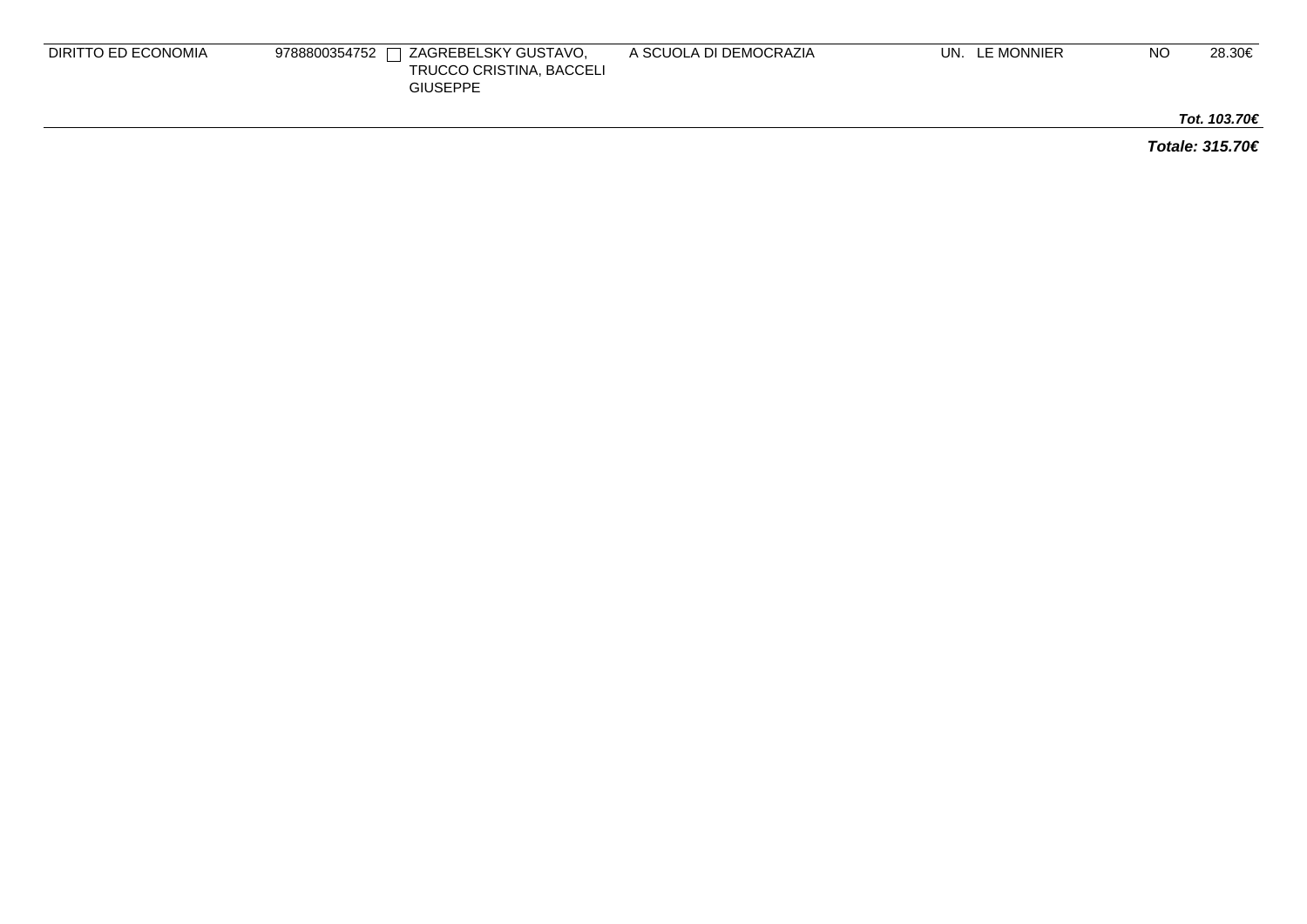| DIRITTO ED ECONOMIA | $\Box$ ZAGREBELSKY GUSTAVO,<br>9788800354752 $\Gamma$<br>TRUCCO CRISTINA, BACCELI<br><b>GIUSEPPE</b> | A SCUOLA DI DEMOCRAZIA | UN. LE MONNIER | NO | 28.30€ |
|---------------------|------------------------------------------------------------------------------------------------------|------------------------|----------------|----|--------|
|                     |                                                                                                      |                        |                |    |        |

**Tot. 103.70€**

**Totale: 315.70€**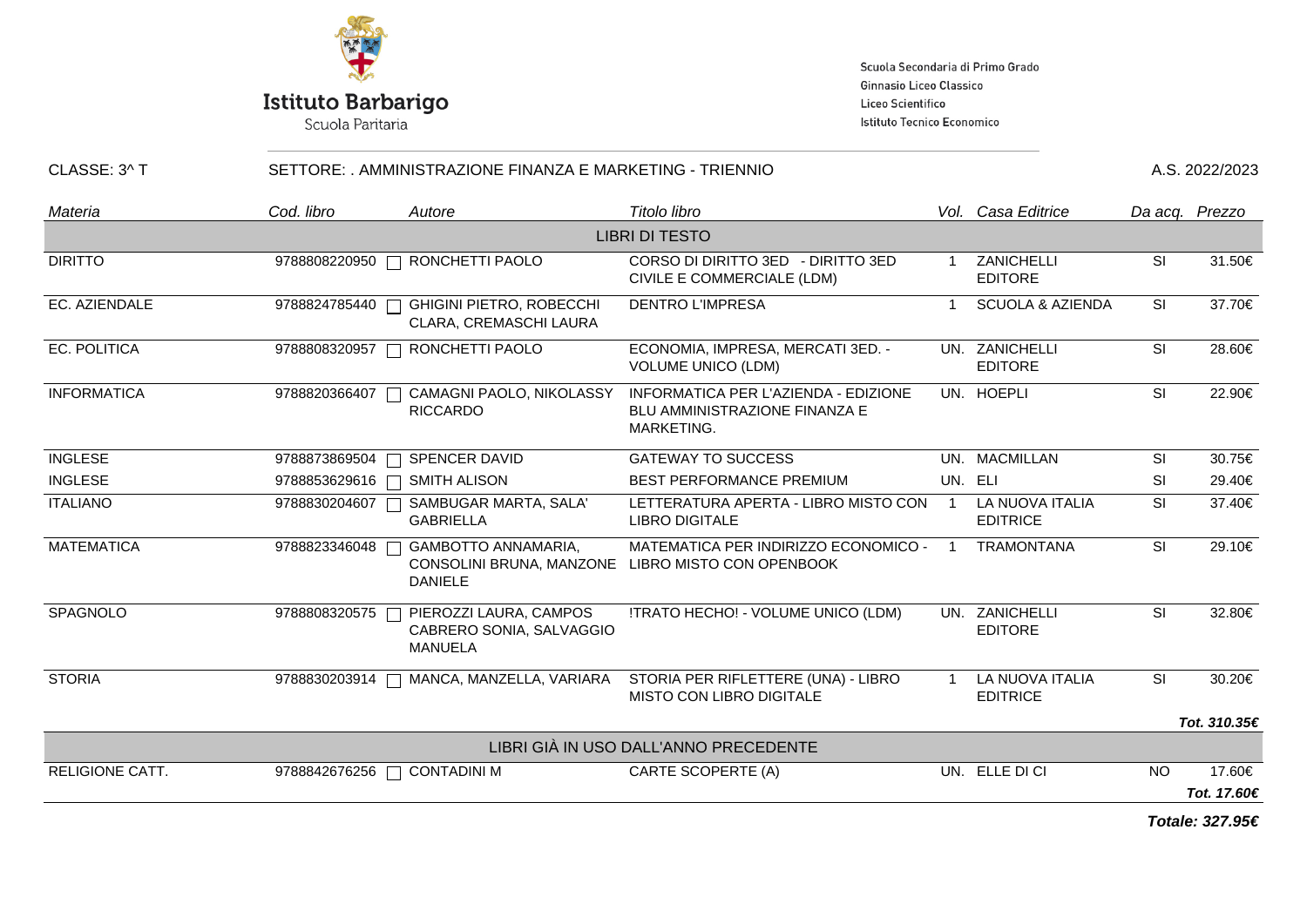

Scuola Paritaria

Scuola Secondaria di Primo Grado Ginnasio Liceo Classico Liceo Scientifico Istituto Tecnico Economico

#### CLASSE: 3^ T SETTORE: . AMMINISTRAZIONE FINANZA E MARKETING - TRIENNIO

| Materia               | Cod. libro    | Autore                                                               | Titolo libro                                                                               |                          | Vol. Casa Editrice                 |           | Da acq. Prezzo  |  |
|-----------------------|---------------|----------------------------------------------------------------------|--------------------------------------------------------------------------------------------|--------------------------|------------------------------------|-----------|-----------------|--|
| <b>LIBRI DI TESTO</b> |               |                                                                      |                                                                                            |                          |                                    |           |                 |  |
| <b>DIRITTO</b>        |               | 9788808220950   RONCHETTI PAOLO                                      | CORSO DI DIRITTO 3ED - DIRITTO 3ED<br>CIVILE E COMMERCIALE (LDM)                           |                          | ZANICHELLI<br><b>EDITORE</b>       | <b>SI</b> | 31.50€          |  |
| EC. AZIENDALE         | 9788824785440 | <b>GHIGINI PIETRO, ROBECCHI</b><br>CLARA, CREMASCHI LAURA            | <b>DENTRO L'IMPRESA</b>                                                                    | -1                       | <b>SCUOLA &amp; AZIENDA</b>        | <b>SI</b> | 37.70€          |  |
| EC. POLITICA          | 9788808320957 | RONCHETTI PAOLO                                                      | ECONOMIA, IMPRESA, MERCATI 3ED. -<br><b>VOLUME UNICO (LDM)</b>                             |                          | UN. ZANICHELLI<br><b>EDITORE</b>   | <b>SI</b> | 28.60€          |  |
| <b>INFORMATICA</b>    | 9788820366407 | CAMAGNI PAOLO, NIKOLASSY<br><b>RICCARDO</b>                          | INFORMATICA PER L'AZIENDA - EDIZIONE<br><b>BLU AMMINISTRAZIONE FINANZA E</b><br>MARKETING. |                          | UN. HOEPLI                         | <b>SI</b> | 22.90€          |  |
| <b>INGLESE</b>        | 9788873869504 | SPENCER DAVID                                                        | <b>GATEWAY TO SUCCESS</b>                                                                  |                          | UN. MACMILLAN                      | <b>SI</b> | 30.75€          |  |
| <b>INGLESE</b>        | 9788853629616 | <b>SMITH ALISON</b>                                                  | BEST PERFORMANCE PREMIUM                                                                   |                          | UN. ELI                            | <b>SI</b> | 29.40€          |  |
| <b>ITALIANO</b>       | 9788830204607 | SAMBUGAR MARTA, SALA'<br><b>GABRIELLA</b>                            | LETTERATURA APERTA - LIBRO MISTO CON<br><b>LIBRO DIGITALE</b>                              | $\overline{\phantom{0}}$ | LA NUOVA ITALIA<br><b>EDITRICE</b> | SI        | 37.40€          |  |
| <b>MATEMATICA</b>     | 9788823346048 | GAMBOTTO ANNAMARIA,<br>CONSOLINI BRUNA, MANZONE<br><b>DANIELE</b>    | MATEMATICA PER INDIRIZZO ECONOMICO -<br>LIBRO MISTO CON OPENBOOK                           | $\overline{\phantom{0}}$ | <b>TRAMONTANA</b>                  | <b>SI</b> | 29.10€          |  |
| SPAGNOLO              | 9788808320575 | PIEROZZI LAURA, CAMPOS<br>CABRERO SONIA, SALVAGGIO<br><b>MANUELA</b> | !TRATO HECHO! - VOLUME UNICO (LDM)                                                         |                          | UN. ZANICHELLI<br><b>EDITORE</b>   | <b>SI</b> | 32.80€          |  |
| <b>STORIA</b>         |               | 9788830203914   MANCA, MANZELLA, VARIARA                             | STORIA PER RIFLETTERE (UNA) - LIBRO<br><b>MISTO CON LIBRO DIGITALE</b>                     |                          | LA NUOVA ITALIA<br><b>EDITRICE</b> | SI        | 30.20€          |  |
|                       |               |                                                                      |                                                                                            |                          |                                    |           | Tot. 310.35€    |  |
|                       |               |                                                                      | LIBRI GIÀ IN USO DALL'ANNO PRECEDENTE                                                      |                          |                                    |           |                 |  |
| RELIGIONE CATT.       | 9788842676256 | <b>CONTADINI M</b>                                                   | CARTE SCOPERTE (A)                                                                         |                          | UN. ELLE DI CI                     | NO.       | 17.60€          |  |
|                       |               |                                                                      |                                                                                            |                          |                                    |           | Tot. 17.60€     |  |
|                       |               |                                                                      |                                                                                            |                          |                                    |           | Totale: 327.95€ |  |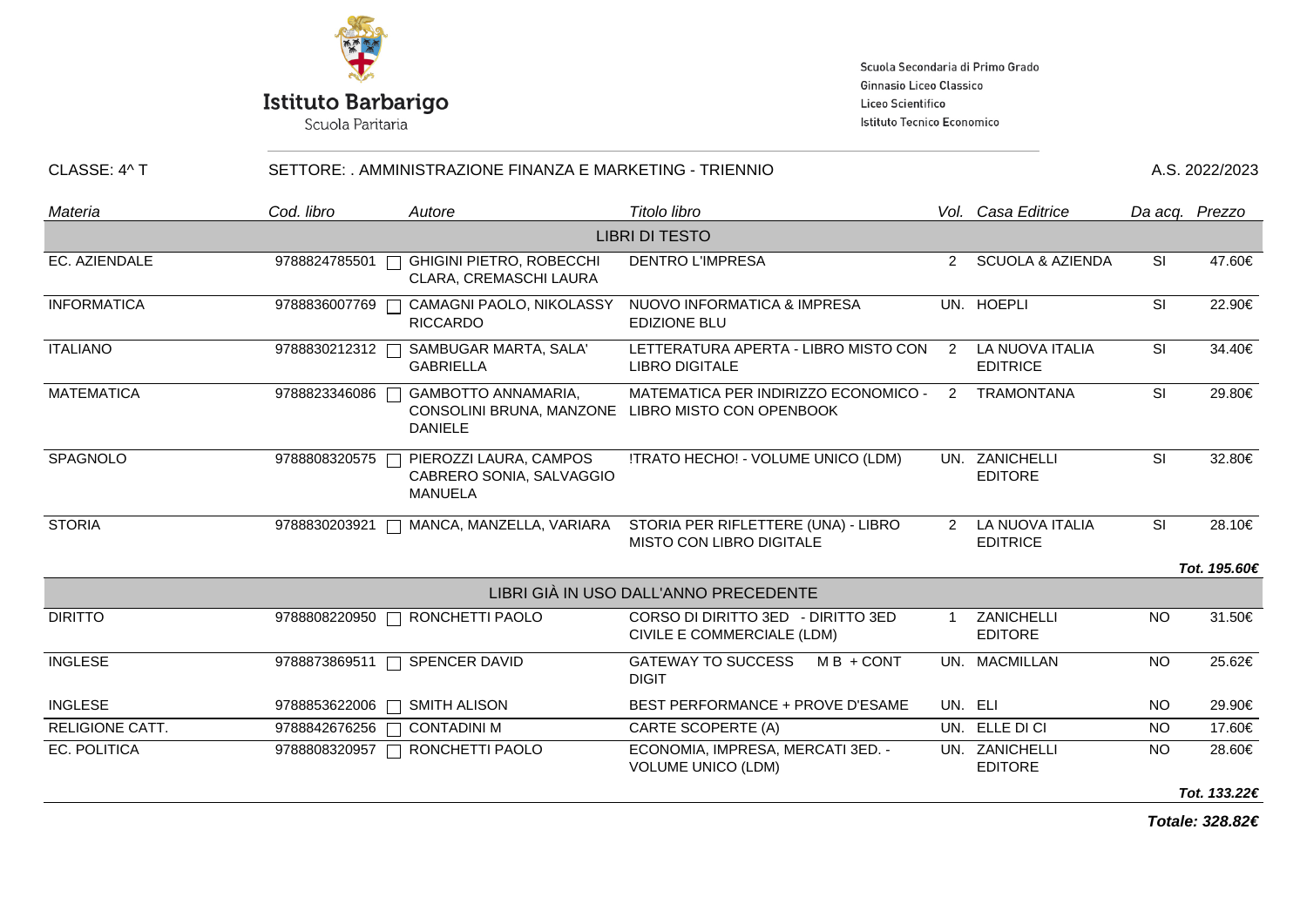

Scuola Paritaria

Scuola Secondaria di Primo Grado Ginnasio Liceo Classico Liceo Scientifico Istituto Tecnico Economico

| CLASSE: 4^ T           |               | SETTORE: , AMMINISTRAZIONE FINANZA E MARKETING - TRIENNIO                |                                                                        |                |                                      |           |                |
|------------------------|---------------|--------------------------------------------------------------------------|------------------------------------------------------------------------|----------------|--------------------------------------|-----------|----------------|
| Materia                | Cod. libro    | Autore                                                                   | Titolo libro                                                           |                | Vol. Casa Editrice                   |           | Da acq. Prezzo |
|                        |               |                                                                          | <b>LIBRI DI TESTO</b>                                                  |                |                                      |           |                |
| EC. AZIENDALE          | 9788824785501 | <b>GHIGINI PIETRO, ROBECCHI</b><br>CLARA, CREMASCHI LAURA                | <b>DENTRO L'IMPRESA</b>                                                |                | 2 SCUOLA & AZIENDA                   | <b>SI</b> | 47.60€         |
| <b>INFORMATICA</b>     | 9788836007769 | CAMAGNI PAOLO, NIKOLASSY<br><b>RICCARDO</b>                              | NUOVO INFORMATICA & IMPRESA<br><b>EDIZIONE BLU</b>                     |                | UN. HOEPLI                           | <b>SI</b> | 22.90€         |
| <b>ITALIANO</b>        | 9788830212312 | SAMBUGAR MARTA, SALA'<br><b>GABRIELLA</b>                                | LETTERATURA APERTA - LIBRO MISTO CON<br><b>LIBRO DIGITALE</b>          | $\overline{2}$ | LA NUOVA ITALIA<br><b>EDITRICE</b>   | SI        | 34.40€         |
| <b>MATEMATICA</b>      | 9788823346086 | <b>GAMBOTTO ANNAMARIA,</b><br>CONSOLINI BRUNA, MANZONE<br><b>DANIELE</b> | MATEMATICA PER INDIRIZZO ECONOMICO -<br>LIBRO MISTO CON OPENBOOK       | 2              | <b>TRAMONTANA</b>                    | <b>SI</b> | 29.80€         |
| SPAGNOLO               | 9788808320575 | PIEROZZI LAURA, CAMPOS<br>CABRERO SONIA, SALVAGGIO<br><b>MANUELA</b>     | !TRATO HECHO! - VOLUME UNICO (LDM)                                     |                | UN. ZANICHELLI<br><b>EDITORE</b>     | <b>SI</b> | 32.80€         |
| <b>STORIA</b>          | 9788830203921 | MANCA, MANZELLA, VARIARA                                                 | STORIA PER RIFLETTERE (UNA) - LIBRO<br><b>MISTO CON LIBRO DIGITALE</b> |                | 2 LA NUOVA ITALIA<br><b>EDITRICE</b> | <b>SI</b> | 28.10€         |
|                        |               |                                                                          |                                                                        |                |                                      |           | Tot. 195.60€   |
|                        |               |                                                                          | LIBRI GIÀ IN USO DALL'ANNO PRECEDENTE                                  |                |                                      |           |                |
| <b>DIRITTO</b>         |               | 9788808220950   RONCHETTI PAOLO                                          | CORSO DI DIRITTO 3ED - DIRITTO 3ED<br>CIVILE E COMMERCIALE (LDM)       |                | ZANICHELLI<br><b>EDITORE</b>         | <b>NO</b> | 31.50€         |
| <b>INGLESE</b>         | 9788873869511 | SPENCER DAVID<br>П                                                       | <b>GATEWAY TO SUCCESS</b><br>$MB + CONT$<br><b>DIGIT</b>               |                | UN. MACMILLAN                        | <b>NO</b> | 25.62€         |
| <b>INGLESE</b>         | 9788853622006 | <b>SMITH ALISON</b><br>П                                                 | BEST PERFORMANCE + PROVE D'ESAME                                       |                | UN. ELI                              | <b>NO</b> | 29.90€         |
| <b>RELIGIONE CATT.</b> | 9788842676256 | <b>CONTADINI M</b>                                                       | CARTE SCOPERTE (A)                                                     |                | UN. ELLE DI CI                       | <b>NO</b> | 17.60€         |
| EC. POLITICA           |               | 9788808320957   RONCHETTI PAOLO                                          | ECONOMIA, IMPRESA, MERCATI 3ED. -<br><b>VOLUME UNICO (LDM)</b>         |                | UN. ZANICHELLI<br><b>EDITORE</b>     | <b>NO</b> | 28.60€         |
|                        |               |                                                                          |                                                                        |                |                                      |           | Tot. 133.22€   |

**Totale: 328.82€**